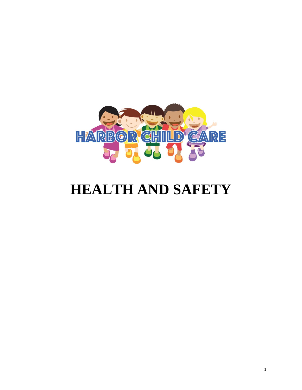

# **HEALTH AND SAFETY**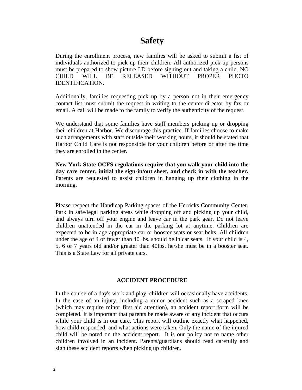# **Safety**

During the enrollment process, new families will be asked to submit a list of individuals authorized to pick up their children. All authorized pick-up persons must be prepared to show picture I.D before signing out and taking a child. NO CHILD WILL BE RELEASED WITHOUT PROPER PHOTO IDENTIFICATION.

Additionally, families requesting pick up by a person not in their emergency contact list must submit the request in writing to the center director by fax or email. A call will be made to the family to verify the authenticity of the request.

We understand that some families have staff members picking up or dropping their children at Harbor. We discourage this practice. If families choose to make such arrangements with staff outside their working hours, it should be stated that Harbor Child Care is not responsible for your children before or after the time they are enrolled in the center.

**New York State OCFS regulations require that you walk your child into the day care center, initial the sign-in/out sheet, and check in with the teacher.** Parents are requested to assist children in hanging up their clothing in the morning.

Please respect the Handicap Parking spaces of the Herricks Community Center. Park in safe/legal parking areas while dropping off and picking up your child, and always turn off your engine and leave car in the park gear. Do not leave children unattended in the car in the parking lot at anytime. Children are expected to be in age appropriate car or booster seats or seat belts. All children under the age of 4 or fewer than 40 lbs. should be in car seats. If your child is 4, 5, 6 or 7 years old and/or greater than 40lbs, he/she must be in a booster seat. This is a State Law for all private cars.

#### **ACCIDENT PROCEDURE**

In the course of a day's work and play, children will occasionally have accidents. In the case of an injury, including a minor accident such as a scraped knee (which may require minor first aid attention), an accident report form will be completed. It is important that parents be made aware of any incident that occurs while your child is in our care. This report will outline exactly what happened, how child responded, and what actions were taken. Only the name of the injured child will be noted on the accident report. It is our policy not to name other children involved in an incident. Parents/guardians should read carefully and sign these accident reports when picking up children.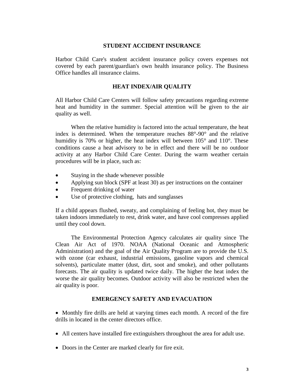#### **STUDENT ACCIDENT INSURANCE**

Harbor Child Care's student accident insurance policy covers expenses not covered by each parent/guardian's own health insurance policy. The Business Office handles all insurance claims.

#### **HEAT INDEX/AIR QUALITY**

All Harbor Child Care Centers will follow safety precautions regarding extreme heat and humidity in the summer. Special attention will be given to the air quality as well.

When the relative humidity is factored into the actual temperature, the heat index is determined. When the temperature reaches 88°-90° and the relative humidity is 70% or higher, the heat index will between 105° and 110°. These conditions cause a heat advisory to be in effect and there will be no outdoor activity at any Harbor Child Care Center. During the warm weather certain procedures will be in place, such as:

- Staying in the shade whenever possible
- Applying sun block (SPF at least 30) as per instructions on the container
- Frequent drinking of water
- Use of protective clothing, hats and sunglasses

If a child appears flushed, sweaty, and complaining of feeling hot, they must be taken indoors immediately to rest, drink water, and have cool compresses applied until they cool down.

The Environmental Protection Agency calculates air quality since The Clean Air Act of 1970. NOAA (National Oceanic and Atmospheric Administration) and the goal of the Air Quality Program are to provide the U.S. with ozone (car exhaust, industrial emissions, gasoline vapors and chemical solvents), particulate matter (dust, dirt, soot and smoke), and other pollutants forecasts. The air quality is updated twice daily. The higher the heat index the worse the air quality becomes. Outdoor activity will also be restricted when the air quality is poor.

#### **EMERGENCY SAFETY AND EVACUATION**

• Monthly fire drills are held at varying times each month. A record of the fire drills in located in the center directors office.

- All centers have installed fire extinguishers throughout the area for adult use.
- Doors in the Center are marked clearly for fire exit.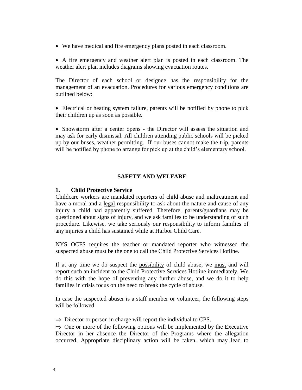We have medical and fire emergency plans posted in each classroom.

 A fire emergency and weather alert plan is posted in each classroom. The weather alert plan includes diagrams showing evacuation routes.

The Director of each school or designee has the responsibility for the management of an evacuation. Procedures for various emergency conditions are outlined below:

 Electrical or heating system failure, parents will be notified by phone to pick their children up as soon as possible.

• Snowstorm after a center opens - the Director will assess the situation and may ask for early dismissal. All children attending public schools will be picked up by our buses, weather permitting. If our buses cannot make the trip, parents will be notified by phone to arrange for pick up at the child's elementary school.

#### **SAFETY AND WELFARE**

#### **1. Child Protective Service**

Childcare workers are mandated reporters of child abuse and maltreatment and have a moral and a legal responsibility to ask about the nature and cause of any injury a child had apparently suffered. Therefore, parents/guardians may be questioned about signs of injury, and we ask families to be understanding of such procedure. Likewise, we take seriously our responsibility to inform families of any injuries a child has sustained while at Harbor Child Care.

NYS OCFS requires the teacher or mandated reporter who witnessed the suspected abuse must be the one to call the Child Protective Services Hotline.

If at any time we do suspect the possibility of child abuse, we must and will report such an incident to the Child Protective Services Hotline immediately. We do this with the hope of preventing any further abuse, and we do it to help families in crisis focus on the need to break the cycle of abuse.

In case the suspected abuser is a staff member or volunteer, the following steps will be followed:

 $\Rightarrow$  Director or person in charge will report the individual to CPS.

 $\Rightarrow$  One or more of the following options will be implemented by the Executive Director in her absence the Director of the Programs where the allegation occurred. Appropriate disciplinary action will be taken, which may lead to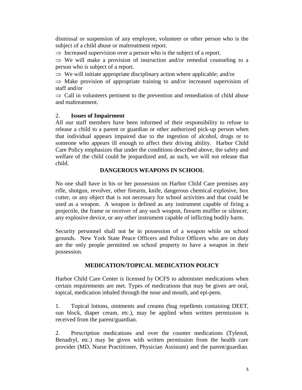dismissal or suspension of any employee, volunteer or other person who is the subject of a child abuse or maltreatment report.

 $\Rightarrow$  Increased supervision over a person who is the subject of a report.

 $\Rightarrow$  We will make a provision of instruction and/or remedial counseling to a person who is subject of a report.

 $\Rightarrow$  We will initiate appropriate disciplinary action where applicable; and/or

 $\Rightarrow$  Make provision of appropriate training to and/or increased supervision of staff and/or

 $\Rightarrow$  Call in volunteers pertinent to the prevention and remediation of child abuse and maltreatment.

### 2. **Issues of Impairment**

All our staff members have been informed of their responsibility to refuse to release a child to a parent or guardian or other authorized pick-up person when that individual appears impaired due to the ingestion of alcohol, drugs or to someone who appears ill enough to affect their driving ability. Harbor Child Care Policy emphasizes that under the conditions described above, the safety and welfare of the child could be jeopardized and, as such, we will not release that child.

### **DANGEROUS WEAPONS IN SCHOOL**

No one shall have in his or her possession on Harbor Child Care premises any rifle, shotgun, revolver, other firearm, knife, dangerous chemical explosive, box cutter, or any object that is not necessary for school activities and that could be used as a weapon. A weapon is defined as any instrument capable of firing a projectile, the frame or receiver of any such weapon, firearm muffler or silencer, any explosive device, or any other instrument capable of inflicting bodily harm.

Security personnel shall not be in possession of a weapon while on school grounds. New York State Peace Officers and Police Officers who are on duty are the only people permitted on school property to have a weapon in their possession.

# **MEDICATION/TOPICAL MEDICATION POLICY**

Harbor Child Care Center is licensed by OCFS to administer medications when certain requirements are met. Types of medications that may be given are oral, topical, medication inhaled through the nose and mouth, and epi-pens.

1. Topical lotions, ointments and creams (bug repellents containing DEET, sun block, diaper cream, etc.), may be applied when written permission is received from the parent/guardian.

2. Prescription medications and over the counter medications (Tylenol, Benadryl, etc.) may be given with written permission from the health care provider (MD, Nurse Practitioner, Physician Assistant) and the parent/guardian.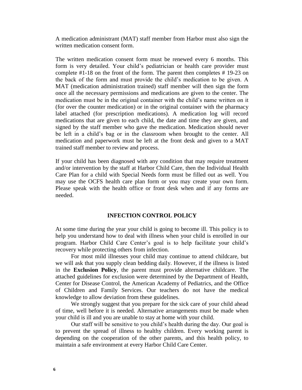A medication administrant (MAT) staff member from Harbor must also sign the written medication consent form.

The written medication consent form must be renewed every 6 months. This form is very detailed. Your child's pediatrician or health care provider must complete #1-18 on the front of the form. The parent then completes # 19-23 on the back of the form and must provide the child's medication to be given. A MAT (medication administration trained) staff member will then sign the form once all the necessary permissions and medications are given to the center. The medication must be in the original container with the child's name written on it (for over the counter medication) or in the original container with the pharmacy label attached (for prescription medications). A medication log will record medications that are given to each child, the date and time they are given, and signed by the staff member who gave the medication. Medication should never be left in a child's bag or in the classroom when brought to the center. All medication and paperwork must be left at the front desk and given to a MAT trained staff member to review and process.

If your child has been diagnosed with any condition that may require treatment and/or intervention by the staff at Harbor Child Care, then the Individual Health Care Plan for a child with Special Needs form must be filled out as well. You may use the OCFS health care plan form or you may create your own form. Please speak with the health office or front desk when and if any forms are needed.

#### **INFECTION CONTROL POLICY**

At some time during the year your child is going to become ill. This policy is to help you understand how to deal with illness when your child is enrolled in our program. Harbor Child Care Center's goal is to help facilitate your child's recovery while protecting others from infection.

For most mild illnesses your child may continue to attend childcare, but we will ask that you supply clean bedding daily. However, if the illness is listed in the **Exclusion Policy**, the parent must provide alternative childcare. The attached guidelines for exclusion were determined by the Department of Health, Center for Disease Control, the American Academy of Pediatrics, and the Office of Children and Family Services. Our teachers do not have the medical knowledge to allow deviation from these guidelines.

We strongly suggest that you prepare for the sick care of your child ahead of time, well before it is needed. Alternative arrangements must be made when your child is ill and you are unable to stay at home with your child.

Our staff will be sensitive to you child's health during the day. Our goal is to prevent the spread of illness to healthy children. Every working parent is depending on the cooperation of the other parents, and this health policy, to maintain a safe environment at every Harbor Child Care Center.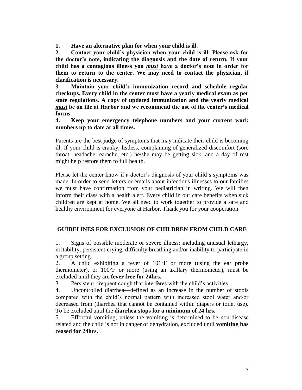**1. Have an alternative plan for when your child is ill.**

**2. Contact your child's physician when your child is ill. Please ask for the doctor's note, indicating the diagnosis and the date of return. If your child has a contagious illness you** *must* **have a doctor's note in order for them to return to the center. We may need to contact the physician, if clarification is necessary.**

**3. Maintain your child's immunization record and schedule regular checkups. Every child in the center must have a yearly medical exam as per state regulations. A copy of updated immunization and the yearly medical**  *must* **be on file at Harbor and we recommend the use of the center's medical forms.**

**4. Keep your emergency telephone numbers and your current work numbers up to date at all times.**

Parents are the best judge of symptoms that may indicate their child is becoming ill. If your child is cranky, listless, complaining of generalized discomfort (sore throat, headache, earache, etc.) he/she may be getting sick, and a day of rest might help restore them to full health.

Please let the center know if a doctor's diagnosis of your child's symptoms was made. In order to send letters or emails about infectious illnesses to our families we must have confirmation from your pediatrician in writing. We will then inform their class with a health alert. Every child in our care benefits when sick children are kept at home. We all need to work together to provide a safe and healthy environment for everyone at Harbor. Thank you for your cooperation.

# **GUIDELINES FOR EXCLUSION OF CHILDREN FROM CHILD CARE**

1. Signs of possible moderate or severe illness; including unusual lethargy, irritability, persistent crying, difficulty breathing and/or inability to participate in a group setting.

2. A child exhibiting a fever of 101°F or more (using the ear probe thermometer), or 100°F or more (using an axillary thermometer), must be excluded until they are **fever free for 24hrs.**

3. Persistent, frequent cough that interferes with the child's activities.

4. Uncontrolled diarrhea—defined as an increase in the number of stools compared with the child's normal pattern with increased stool water and/or decreased from (diarrhea that cannot be contained within diapers or toilet use). To be excluded until the **diarrhea stops for a minimum of 24 hrs.**

5. Effortful vomiting; unless the vomiting is determined to be non-disease related and the child is not in danger of dehydration, excluded until **vomiting has ceased for 24hrs.**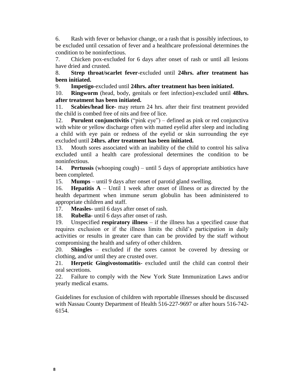6. Rash with fever or behavior change, or a rash that is possibly infectious, to be excluded until cessation of fever and a healthcare professional determines the condition to be noninfectious.

7. Chicken pox-excluded for 6 days after onset of rash or until all lesions have dried and crusted.

8. **Strep throat/scarlet fever**-excluded until **24hrs. after treatment has been initiated.**

9. **Impetigo**-excluded until **24hrs. after treatment has been initiated.**

10. **Ringworm** (head, body, genitals or feet infection)-excluded until **48hrs. after treatment has been initiated.**

11. **Scabies/head lice**- may return 24 hrs. after their first treatment provided the child is combed free of nits and free of lice.

12. **Purulent conjunctivitis** ("pink eye") – defined as pink or red conjunctiva with white or yellow discharge often with matted eyelid after sleep and including a child with eye pain or redness of the eyelid or skin surrounding the eye excluded until **24hrs. after treatment has been initiated.**

13. Mouth sores associated with an inability of the child to control his saliva excluded until a health care professional determines the condition to be noninfectious.

14. **Pertussis** (whooping cough) – until 5 days of appropriate antibiotics have been completed.

15. **Mumps** – until 9 days after onset of parotid gland swelling.

16. **Hepatitis A** – Until 1 week after onset of illness or as directed by the health department when immune serum globulin has been administered to appropriate children and staff.

17. **Measles**- until 6 days after onset of rash.

18. **Rubella**- until 6 days after onset of rash.

19. Unspecified **respiratory illness** – if the illness has a specified cause that requires exclusion or if the illness limits the child's participation in daily activities or results in greater care than can be provided by the staff without compromising the health and safety of other children.

20. **Shingles** – excluded if the sores cannot be covered by dressing or clothing, and/or until they are crusted over.

21. **Herpetic Gingivostomatitis**- excluded until the child can control their oral secretions.

22. Failure to comply with the New York State Immunization Laws and/or yearly medical exams.

Guidelines for exclusion of children with reportable illnesses should be discussed with Nassau County Department of Health 516-227-9697 or after hours 516-742- 6154.